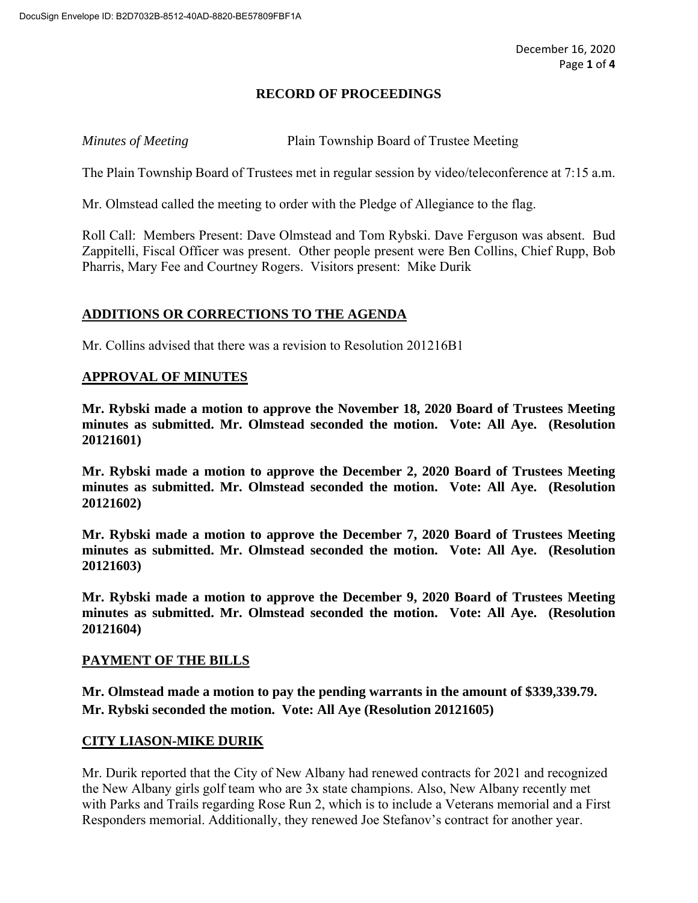# **RECORD OF PROCEEDINGS**

*Minutes of Meeting* Plain Township Board of Trustee Meeting

The Plain Township Board of Trustees met in regular session by video/teleconference at 7:15 a.m.

Mr. Olmstead called the meeting to order with the Pledge of Allegiance to the flag.

Roll Call: Members Present: Dave Olmstead and Tom Rybski. Dave Ferguson was absent. Bud Zappitelli, Fiscal Officer was present. Other people present were Ben Collins, Chief Rupp, Bob Pharris, Mary Fee and Courtney Rogers. Visitors present: Mike Durik

## **ADDITIONS OR CORRECTIONS TO THE AGENDA**

Mr. Collins advised that there was a revision to Resolution 201216B1

## **APPROVAL OF MINUTES**

**Mr. Rybski made a motion to approve the November 18, 2020 Board of Trustees Meeting minutes as submitted. Mr. Olmstead seconded the motion. Vote: All Aye. (Resolution 20121601)**

**Mr. Rybski made a motion to approve the December 2, 2020 Board of Trustees Meeting minutes as submitted. Mr. Olmstead seconded the motion. Vote: All Aye. (Resolution 20121602)**

**Mr. Rybski made a motion to approve the December 7, 2020 Board of Trustees Meeting minutes as submitted. Mr. Olmstead seconded the motion. Vote: All Aye. (Resolution 20121603)**

**Mr. Rybski made a motion to approve the December 9, 2020 Board of Trustees Meeting minutes as submitted. Mr. Olmstead seconded the motion. Vote: All Aye. (Resolution 20121604)**

## **PAYMENT OF THE BILLS**

**Mr. Olmstead made a motion to pay the pending warrants in the amount of \$339,339.79. Mr. Rybski seconded the motion. Vote: All Aye (Resolution 20121605)**

## **CITY LIASON-MIKE DURIK**

Mr. Durik reported that the City of New Albany had renewed contracts for 2021 and recognized the New Albany girls golf team who are 3x state champions. Also, New Albany recently met with Parks and Trails regarding Rose Run 2, which is to include a Veterans memorial and a First Responders memorial. Additionally, they renewed Joe Stefanov's contract for another year.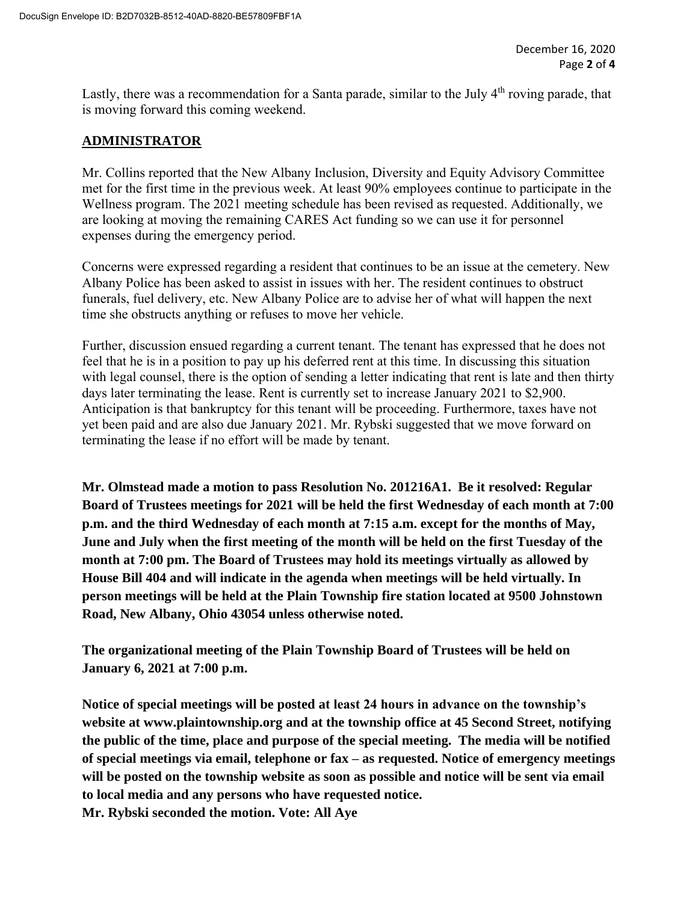Lastly, there was a recommendation for a Santa parade, similar to the July  $4<sup>th</sup>$  roving parade, that is moving forward this coming weekend.

# **ADMINISTRATOR**

Mr. Collins reported that the New Albany Inclusion, Diversity and Equity Advisory Committee met for the first time in the previous week. At least 90% employees continue to participate in the Wellness program. The 2021 meeting schedule has been revised as requested. Additionally, we are looking at moving the remaining CARES Act funding so we can use it for personnel expenses during the emergency period.

Concerns were expressed regarding a resident that continues to be an issue at the cemetery. New Albany Police has been asked to assist in issues with her. The resident continues to obstruct funerals, fuel delivery, etc. New Albany Police are to advise her of what will happen the next time she obstructs anything or refuses to move her vehicle.

Further, discussion ensued regarding a current tenant. The tenant has expressed that he does not feel that he is in a position to pay up his deferred rent at this time. In discussing this situation with legal counsel, there is the option of sending a letter indicating that rent is late and then thirty days later terminating the lease. Rent is currently set to increase January 2021 to \$2,900. Anticipation is that bankruptcy for this tenant will be proceeding. Furthermore, taxes have not yet been paid and are also due January 2021. Mr. Rybski suggested that we move forward on terminating the lease if no effort will be made by tenant.

**Mr. Olmstead made a motion to pass Resolution No. 201216A1. Be it resolved: Regular Board of Trustees meetings for 2021 will be held the first Wednesday of each month at 7:00 p.m. and the third Wednesday of each month at 7:15 a.m. except for the months of May, June and July when the first meeting of the month will be held on the first Tuesday of the month at 7:00 pm. The Board of Trustees may hold its meetings virtually as allowed by House Bill 404 and will indicate in the agenda when meetings will be held virtually. In person meetings will be held at the Plain Township fire station located at 9500 Johnstown Road, New Albany, Ohio 43054 unless otherwise noted.** 

**The organizational meeting of the Plain Township Board of Trustees will be held on January 6, 2021 at 7:00 p.m.** 

**Notice of special meetings will be posted at least 24 hours in advance on the township's website at www.plaintownship.org and at the township office at 45 Second Street, notifying the public of the time, place and purpose of the special meeting. The media will be notified of special meetings via email, telephone or fax – as requested. Notice of emergency meetings will be posted on the township website as soon as possible and notice will be sent via email to local media and any persons who have requested notice. Mr. Rybski seconded the motion. Vote: All Aye**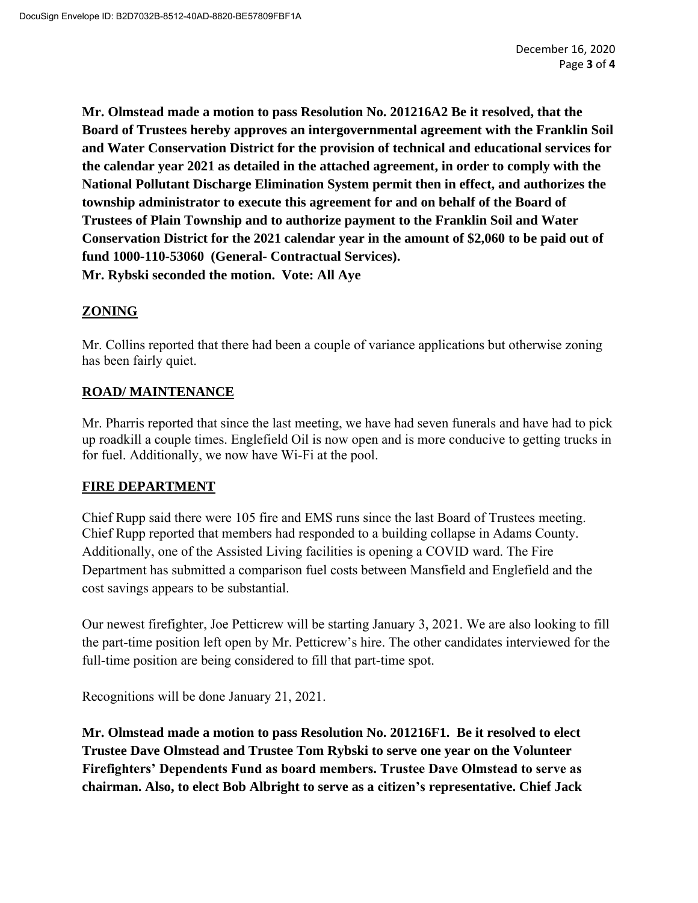**Mr. Olmstead made a motion to pass Resolution No. 201216A2 Be it resolved, that the Board of Trustees hereby approves an intergovernmental agreement with the Franklin Soil and Water Conservation District for the provision of technical and educational services for the calendar year 2021 as detailed in the attached agreement, in order to comply with the National Pollutant Discharge Elimination System permit then in effect, and authorizes the township administrator to execute this agreement for and on behalf of the Board of Trustees of Plain Township and to authorize payment to the Franklin Soil and Water Conservation District for the 2021 calendar year in the amount of \$2,060 to be paid out of fund 1000-110-53060 (General- Contractual Services). Mr. Rybski seconded the motion. Vote: All Aye**

# **ZONING**

Mr. Collins reported that there had been a couple of variance applications but otherwise zoning has been fairly quiet.

# **ROAD/ MAINTENANCE**

Mr. Pharris reported that since the last meeting, we have had seven funerals and have had to pick up roadkill a couple times. Englefield Oil is now open and is more conducive to getting trucks in for fuel. Additionally, we now have Wi-Fi at the pool.

# **FIRE DEPARTMENT**

Chief Rupp said there were 105 fire and EMS runs since the last Board of Trustees meeting. Chief Rupp reported that members had responded to a building collapse in Adams County. Additionally, one of the Assisted Living facilities is opening a COVID ward. The Fire Department has submitted a comparison fuel costs between Mansfield and Englefield and the cost savings appears to be substantial.

Our newest firefighter, Joe Petticrew will be starting January 3, 2021. We are also looking to fill the part-time position left open by Mr. Petticrew's hire. The other candidates interviewed for the full-time position are being considered to fill that part-time spot.

Recognitions will be done January 21, 2021.

**Mr. Olmstead made a motion to pass Resolution No. 201216F1. Be it resolved to elect Trustee Dave Olmstead and Trustee Tom Rybski to serve one year on the Volunteer Firefighters' Dependents Fund as board members. Trustee Dave Olmstead to serve as chairman. Also, to elect Bob Albright to serve as a citizen's representative. Chief Jack**